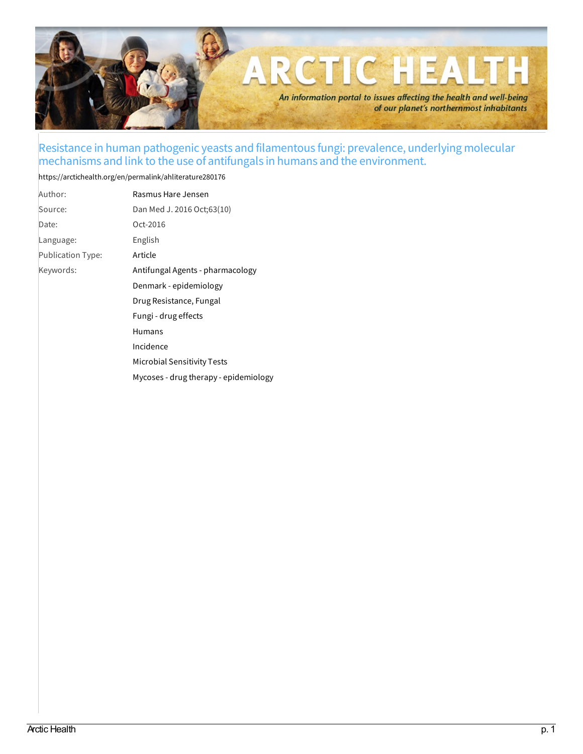

## Resistance in human pathogenic yeasts and filamentous fungi: prevalence, underlying molecular mechanisms and link to the use of antifungals in humans and the environment.

## <https://arctichealth.org/en/permalink/ahliterature280176>

| Author:                  | Rasmus Hare Jensen                    |
|--------------------------|---------------------------------------|
| Source:                  | Dan Med J. 2016 Oct;63(10)            |
| Date:                    | Oct-2016                              |
| Language:                | English                               |
| <b>Publication Type:</b> | Article                               |
| Keywords:                | Antifungal Agents - pharmacology      |
|                          | Denmark - epidemiology                |
|                          | Drug Resistance, Fungal               |
|                          | Fungi - drug effects                  |
|                          | <b>Humans</b>                         |
|                          | Incidence                             |
|                          | Microbial Sensitivity Tests           |
|                          | Mycoses - drug therapy - epidemiology |